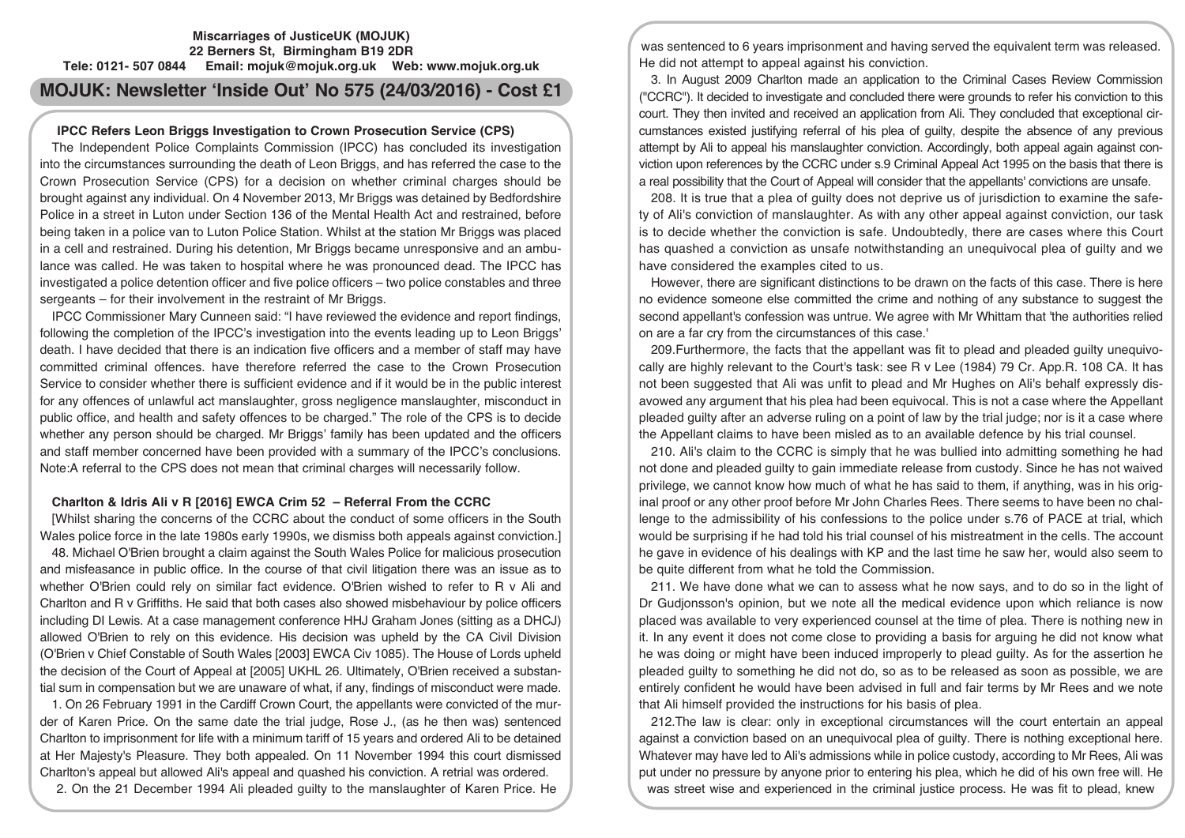#### **Miscarriages of JusticeUK (MOJUK) 22 Berners St, Birmingham B19 2DR Tele: 0121- 507 0844 Email: mojuk@mojuk.org.uk Web: www.mojuk.org.uk**

# **MOJUK: Newsletter 'Inside Out' No 575 (24/03/2016) - Cost £1**

# **IPCC Refers Leon Briggs Investigation to Crown Prosecution Service (CPS)**

The Independent Police Complaints Commission (IPCC) has concluded its investigation into the circumstances surrounding the death of Leon Briggs, and has referred the case to the Crown Prosecution Service (CPS) for a decision on whether criminal charges should be brought against any individual. On 4 November 2013, Mr Briggs was detained by Bedfordshire Police in a street in Luton under Section 136 of the Mental Health Act and restrained, before being taken in a police van to Luton Police Station. Whilst at the station Mr Briggs was placed in a cell and restrained. During his detention, Mr Briggs became unresponsive and an ambulance was called. He was taken to hospital where he was pronounced dead. The IPCC has investigated a police detention officer and five police officers – two police constables and three sergeants – for their involvement in the restraint of Mr Briggs.

IPCC Commissioner Mary Cunneen said: "I have reviewed the evidence and report findings, following the completion of the IPCC's investigation into the events leading up to Leon Briggs' death. I have decided that there is an indication five officers and a member of staff may have committed criminal offences. have therefore referred the case to the Crown Prosecution Service to consider whether there is sufficient evidence and if it would be in the public interest for any offences of unlawful act manslaughter, gross negligence manslaughter, misconduct in public office, and health and safety offences to be charged." The role of the CPS is to decide whether any person should be charged. Mr Briggs' family has been updated and the officers and staff member concerned have been provided with a summary of the IPCC's conclusions. Note:A referral to the CPS does not mean that criminal charges will necessarily follow.

## **Charlton & Idris Ali v R [2016] EWCA Crim 52 – Referral From the CCRC**

[Whilst sharing the concerns of the CCRC about the conduct of some officers in the South Wales police force in the late 1980s early 1990s, we dismiss both appeals against conviction.]

48. Michael O'Brien brought a claim against the South Wales Police for malicious prosecution and misfeasance in public office. In the course of that civil litigation there was an issue as to whether O'Brien could rely on similar fact evidence. O'Brien wished to refer to R v Ali and Charlton and R v Griffiths. He said that both cases also showed misbehaviour by police officers including DI Lewis. At a case management conference HHJ Graham Jones (sitting as a DHCJ) allowed O'Brien to rely on this evidence. His decision was upheld by the CA Civil Division (O'Brien v Chief Constable of South Wales [2003] EWCA Civ 1085). The House of Lords upheld the decision of the Court of Appeal at [2005] UKHL 26. Ultimately, O'Brien received a substantial sum in compensation but we are unaware of what, if any, findings of misconduct were made.

1. On 26 February 1991 in the Cardiff Crown Court, the appellants were convicted of the murder of Karen Price. On the same date the trial judge, Rose J., (as he then was) sentenced Charlton to imprisonment for life with a minimum tariff of 15 years and ordered Ali to be detained at Her Majesty's Pleasure. They both appealed. On 11 November 1994 this court dismissed Charlton's appeal but allowed Ali's appeal and quashed his conviction. A retrial was ordered.

2. On the 21 December 1994 Ali pleaded guilty to the manslaughter of Karen Price. He

was sentenced to 6 years imprisonment and having served the equivalent term was released. He did not attempt to appeal against his conviction.

3. In August 2009 Charlton made an application to the Criminal Cases Review Commission ("CCRC"). It decided to investigate and concluded there were grounds to refer his conviction to this court. They then invited and received an application from Ali. They concluded that exceptional circumstances existed justifying referral of his plea of guilty, despite the absence of any previous attempt by Ali to appeal his manslaughter conviction. Accordingly, both appeal again against conviction upon references by the CCRC under s.9 Criminal Appeal Act 1995 on the basis that there is a real possibility that the Court of Appeal will consider that the appellants' convictions are unsafe.

208. It is true that a plea of guilty does not deprive us of jurisdiction to examine the safety of Ali's conviction of manslaughter. As with any other appeal against conviction, our task is to decide whether the conviction is safe. Undoubtedly, there are cases where this Court has quashed a conviction as unsafe notwithstanding an unequivocal plea of guilty and we have considered the examples cited to us.

However, there are significant distinctions to be drawn on the facts of this case. There is here no evidence someone else committed the crime and nothing of any substance to suggest the second appellant's confession was untrue. We agree with Mr Whittam that 'the authorities relied on are a far cry from the circumstances of this case.'

209.Furthermore, the facts that the appellant was fit to plead and pleaded guilty unequivocally are highly relevant to the Court's task: see R v Lee (1984) 79 Cr. App.R. 108 CA. It has not been suggested that Ali was unfit to plead and Mr Hughes on Ali's behalf expressly disavowed any argument that his plea had been equivocal. This is not a case where the Appellant pleaded guilty after an adverse ruling on a point of law by the trial judge; nor is it a case where the Appellant claims to have been misled as to an available defence by his trial counsel.

210. Ali's claim to the CCRC is simply that he was bullied into admitting something he had not done and pleaded guilty to gain immediate release from custody. Since he has not waived privilege, we cannot know how much of what he has said to them, if anything, was in his original proof or any other proof before Mr John Charles Rees. There seems to have been no challenge to the admissibility of his confessions to the police under s.76 of PACE at trial, which would be surprising if he had told his trial counsel of his mistreatment in the cells. The account he gave in evidence of his dealings with KP and the last time he saw her, would also seem to be quite different from what he told the Commission.

211. We have done what we can to assess what he now says, and to do so in the light of Dr Gudjonsson's opinion, but we note all the medical evidence upon which reliance is now placed was available to very experienced counsel at the time of plea. There is nothing new in it. In any event it does not come close to providing a basis for arguing he did not know what he was doing or might have been induced improperly to plead guilty. As for the assertion he pleaded guilty to something he did not do, so as to be released as soon as possible, we are entirely confident he would have been advised in full and fair terms by Mr Rees and we note that Ali himself provided the instructions for his basis of plea.

212.The law is clear: only in exceptional circumstances will the court entertain an appeal against a conviction based on an unequivocal plea of guilty. There is nothing exceptional here. Whatever may have led to Ali's admissions while in police custody, according to Mr Rees, Ali was put under no pressure by anyone prior to entering his plea, which he did of his own free will. He was street wise and experienced in the criminal justice process. He was fit to plead, knew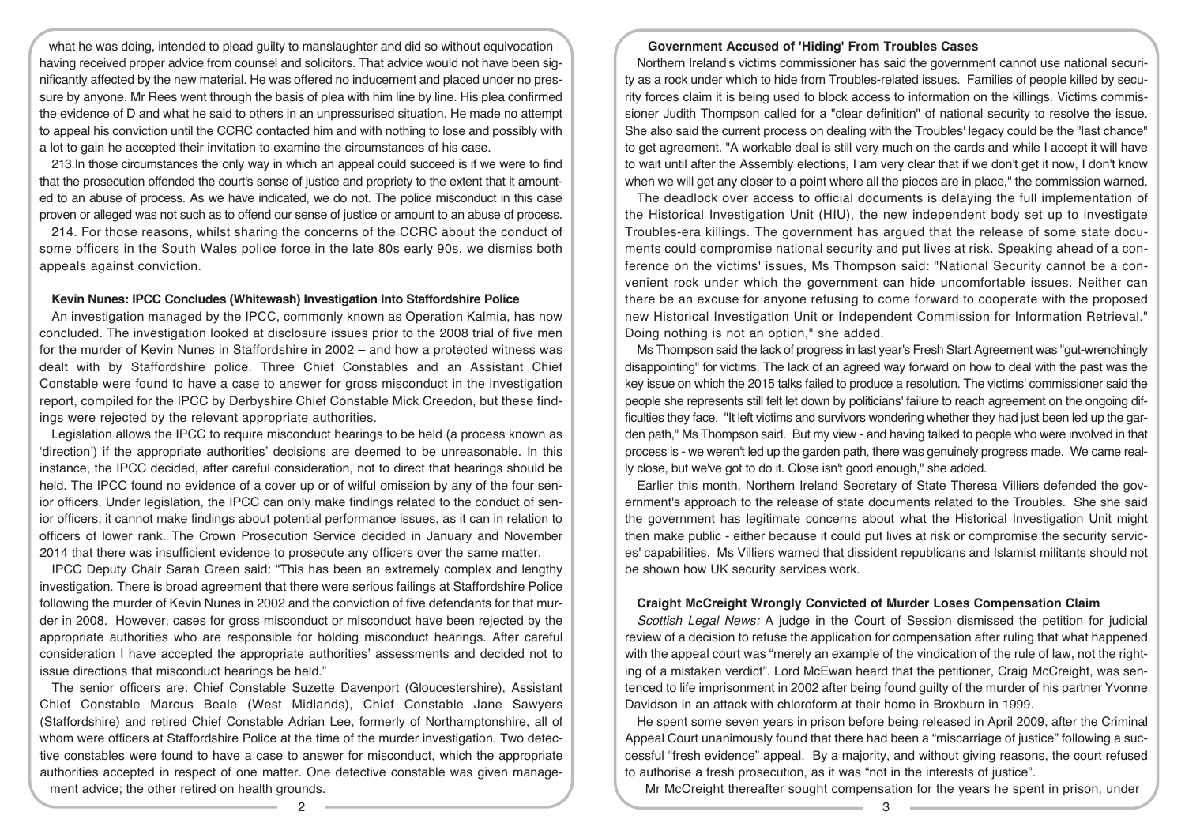what he was doing, intended to plead guilty to manslaughter and did so without equivocation having received proper advice from counsel and solicitors. That advice would not have been significantly affected by the new material. He was offered no inducement and placed under no pressure by anyone. Mr Rees went through the basis of plea with him line by line. His plea confirmed the evidence of D and what he said to others in an unpressurised situation. He made no attempt to appeal his conviction until the CCRC contacted him and with nothing to lose and possibly with a lot to gain he accepted their invitation to examine the circumstances of his case.

213.In those circumstances the only way in which an appeal could succeed is if we were to find that the prosecution offended the court's sense of justice and propriety to the extent that it amounted to an abuse of process. As we have indicated, we do not. The police misconduct in this case proven or alleged was not such as to offend our sense of justice or amount to an abuse of process.

214. For those reasons, whilst sharing the concerns of the CCRC about the conduct of some officers in the South Wales police force in the late 80s early 90s, we dismiss both appeals against conviction.

#### **Kevin Nunes: IPCC Concludes (Whitewash) Investigation Into Staffordshire Police**

An investigation managed by the IPCC, commonly known as Operation Kalmia, has now concluded. The investigation looked at disclosure issues prior to the 2008 trial of five men for the murder of Kevin Nunes in Staffordshire in 2002 – and how a protected witness was dealt with by Staffordshire police. Three Chief Constables and an Assistant Chief Constable were found to have a case to answer for gross misconduct in the investigation report, compiled for the IPCC by Derbyshire Chief Constable Mick Creedon, but these findings were rejected by the relevant appropriate authorities.

Legislation allows the IPCC to require misconduct hearings to be held (a process known as 'direction') if the appropriate authorities' decisions are deemed to be unreasonable. In this instance, the IPCC decided, after careful consideration, not to direct that hearings should be held. The IPCC found no evidence of a cover up or of wilful omission by any of the four senior officers. Under legislation, the IPCC can only make findings related to the conduct of senior officers; it cannot make findings about potential performance issues, as it can in relation to officers of lower rank. The Crown Prosecution Service decided in January and November 2014 that there was insufficient evidence to prosecute any officers over the same matter.

IPCC Deputy Chair Sarah Green said: "This has been an extremely complex and lengthy investigation. There is broad agreement that there were serious failings at Staffordshire Police following the murder of Kevin Nunes in 2002 and the conviction of five defendants for that murder in 2008. However, cases for gross misconduct or misconduct have been rejected by the appropriate authorities who are responsible for holding misconduct hearings. After careful consideration I have accepted the appropriate authorities' assessments and decided not to issue directions that misconduct hearings be held."

The senior officers are: Chief Constable Suzette Davenport (Gloucestershire), Assistant Chief Constable Marcus Beale (West Midlands), Chief Constable Jane Sawyers (Staffordshire) and retired Chief Constable Adrian Lee, formerly of Northamptonshire, all of whom were officers at Staffordshire Police at the time of the murder investigation. Two detective constables were found to have a case to answer for misconduct, which the appropriate authorities accepted in respect of one matter. One detective constable was given management advice; the other retired on health grounds.

#### **Government Accused of 'Hiding' From Troubles Cases**

Northern Ireland's victims commissioner has said the government cannot use national security as a rock under which to hide from Troubles-related issues. Families of people killed by security forces claim it is being used to block access to information on the killings. Victims commissioner Judith Thompson called for a "clear definition" of national security to resolve the issue. She also said the current process on dealing with the Troubles' legacy could be the "last chance" to get agreement. "A workable deal is still very much on the cards and while I accept it will have to wait until after the Assembly elections, I am very clear that if we don't get it now, I don't know when we will get any closer to a point where all the pieces are in place," the commission warned.

The deadlock over access to official documents is delaying the full implementation of the Historical Investigation Unit (HIU), the new independent body set up to investigate Troubles-era killings. The government has argued that the release of some state documents could compromise national security and put lives at risk. Speaking ahead of a conference on the victims' issues, Ms Thompson said: "National Security cannot be a convenient rock under which the government can hide uncomfortable issues. Neither can there be an excuse for anyone refusing to come forward to cooperate with the proposed new Historical Investigation Unit or Independent Commission for Information Retrieval." Doing nothing is not an option," she added.

Ms Thompson said the lack of progress in last year's Fresh Start Agreement was "gut-wrenchingly disappointing" for victims. The lack of an agreed way forward on how to deal with the past was the key issue on which the 2015 talks failed to produce a resolution. The victims' commissioner said the people she represents still felt let down by politicians' failure to reach agreement on the ongoing difficulties they face. "It left victims and survivors wondering whether they had just been led up the garden path," Ms Thompson said. But my view - and having talked to people who were involved in that process is - we weren't led up the garden path, there was genuinely progress made. We came really close, but we've got to do it. Close isn't good enough," she added.

Earlier this month, Northern Ireland Secretary of State Theresa Villiers defended the government's approach to the release of state documents related to the Troubles. She she said the government has legitimate concerns about what the Historical Investigation Unit might then make public - either because it could put lives at risk or compromise the security services' capabilities. Ms Villiers warned that dissident republicans and Islamist militants should not be shown how UK security services work.

#### **Craight McCreight Wrongly Convicted of Murder Loses Compensation Claim**

*Scottish Legal News:* A judge in the Court of Session dismissed the petition for judicial review of a decision to refuse the application for compensation after ruling that what happened with the appeal court was "merely an example of the vindication of the rule of law, not the righting of a mistaken verdict". Lord McEwan heard that the petitioner, Craig McCreight, was sentenced to life imprisonment in 2002 after being found guilty of the murder of his partner Yvonne Davidson in an attack with chloroform at their home in Broxburn in 1999.

He spent some seven years in prison before being released in April 2009, after the Criminal Appeal Court unanimously found that there had been a "miscarriage of justice" following a successful "fresh evidence" appeal. By a majority, and without giving reasons, the court refused to authorise a fresh prosecution, as it was "not in the interests of justice".

Mr McCreight thereafter sought compensation for the years he spent in prison, under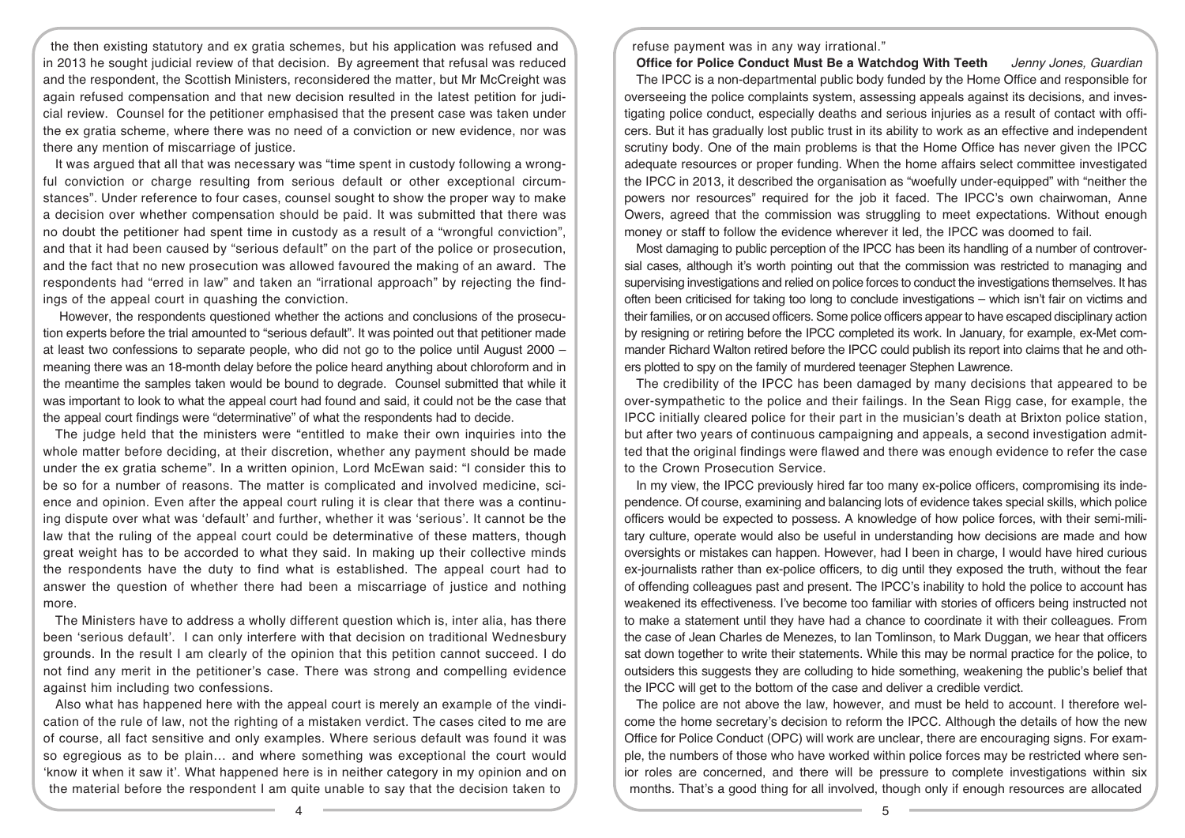the then existing statutory and ex gratia schemes, but his application was refused and in 2013 he sought judicial review of that decision. By agreement that refusal was reduced and the respondent, the Scottish Ministers, reconsidered the matter, but Mr McCreight was again refused compensation and that new decision resulted in the latest petition for judicial review. Counsel for the petitioner emphasised that the present case was taken under the ex gratia scheme, where there was no need of a conviction or new evidence, nor was there any mention of miscarriage of justice.

It was argued that all that was necessary was "time spent in custody following a wrongful conviction or charge resulting from serious default or other exceptional circumstances". Under reference to four cases, counsel sought to show the proper way to make a decision over whether compensation should be paid. It was submitted that there was no doubt the petitioner had spent time in custody as a result of a "wrongful conviction", and that it had been caused by "serious default" on the part of the police or prosecution, and the fact that no new prosecution was allowed favoured the making of an award. The respondents had "erred in law" and taken an "irrational approach" by rejecting the findings of the appeal court in quashing the conviction.

However, the respondents questioned whether the actions and conclusions of the prosecution experts before the trial amounted to "serious default". It was pointed out that petitioner made at least two confessions to separate people, who did not go to the police until August 2000 – meaning there was an 18-month delay before the police heard anything about chloroform and in the meantime the samples taken would be bound to degrade. Counsel submitted that while it was important to look to what the appeal court had found and said, it could not be the case that the appeal court findings were "determinative" of what the respondents had to decide.

The judge held that the ministers were "entitled to make their own inquiries into the whole matter before deciding, at their discretion, whether any payment should be made under the ex gratia scheme". In a written opinion, Lord McEwan said: "I consider this to be so for a number of reasons. The matter is complicated and involved medicine, science and opinion. Even after the appeal court ruling it is clear that there was a continuing dispute over what was 'default' and further, whether it was 'serious'. It cannot be the law that the ruling of the appeal court could be determinative of these matters, though great weight has to be accorded to what they said. In making up their collective minds the respondents have the duty to find what is established. The appeal court had to answer the question of whether there had been a miscarriage of justice and nothing more.

The Ministers have to address a wholly different question which is, inter alia, has there been 'serious default'. I can only interfere with that decision on traditional Wednesbury grounds. In the result I am clearly of the opinion that this petition cannot succeed. I do not find any merit in the petitioner's case. There was strong and compelling evidence against him including two confessions.

Also what has happened here with the appeal court is merely an example of the vindication of the rule of law, not the righting of a mistaken verdict. The cases cited to me are of course, all fact sensitive and only examples. Where serious default was found it was so egregious as to be plain… and where something was exceptional the court would 'know it when it saw it'. What happened here is in neither category in my opinion and on the material before the respondent I am quite unable to say that the decision taken to

refuse payment was in any way irrational."

**Office for Police Conduct Must Be a Watchdog With Teeth** *Jenny Jones, Guardian* The IPCC is a non-departmental public body funded by the Home Office and responsible for overseeing the police complaints system, assessing appeals against its decisions, and investigating police conduct, especially deaths and serious injuries as a result of contact with officers. But it has gradually lost public trust in its ability to work as an effective and independent scrutiny body. One of the main problems is that the Home Office has never given the IPCC adequate resources or proper funding. When the home affairs select committee investigated the IPCC in 2013, it described the organisation as "woefully under-equipped" with "neither the powers nor resources" required for the job it faced. The IPCC's own chairwoman, Anne Owers, agreed that the commission was struggling to meet expectations. Without enough money or staff to follow the evidence wherever it led, the IPCC was doomed to fail.

Most damaging to public perception of the IPCC has been its handling of a number of controversial cases, although it's worth pointing out that the commission was restricted to managing and supervising investigations and relied on police forces to conduct the investigations themselves. It has often been criticised for taking too long to conclude investigations – which isn't fair on victims and their families, or on accused officers. Some police officers appear to have escaped disciplinary action by resigning or retiring before the IPCC completed its work. In January, for example, ex-Met commander Richard Walton retired before the IPCC could publish its report into claims that he and others plotted to spy on the family of murdered teenager Stephen Lawrence.

The credibility of the IPCC has been damaged by many decisions that appeared to be over-sympathetic to the police and their failings. In the Sean Rigg case, for example, the IPCC initially cleared police for their part in the musician's death at Brixton police station, but after two years of continuous campaigning and appeals, a second investigation admitted that the original findings were flawed and there was enough evidence to refer the case to the Crown Prosecution Service.

In my view, the IPCC previously hired far too many ex-police officers, compromising its independence. Of course, examining and balancing lots of evidence takes special skills, which police officers would be expected to possess. A knowledge of how police forces, with their semi-military culture, operate would also be useful in understanding how decisions are made and how oversights or mistakes can happen. However, had I been in charge, I would have hired curious ex-journalists rather than ex-police officers, to dig until they exposed the truth, without the fear of offending colleagues past and present. The IPCC's inability to hold the police to account has weakened its effectiveness. I've become too familiar with stories of officers being instructed not to make a statement until they have had a chance to coordinate it with their colleagues. From the case of Jean Charles de Menezes, to Ian Tomlinson, to Mark Duggan, we hear that officers sat down together to write their statements. While this may be normal practice for the police, to outsiders this suggests they are colluding to hide something, weakening the public's belief that the IPCC will get to the bottom of the case and deliver a credible verdict.

The police are not above the law, however, and must be held to account. I therefore welcome the home secretary's decision to reform the IPCC. Although the details of how the new Office for Police Conduct (OPC) will work are unclear, there are encouraging signs. For example, the numbers of those who have worked within police forces may be restricted where senior roles are concerned, and there will be pressure to complete investigations within six months. That's a good thing for all involved, though only if enough resources are allocated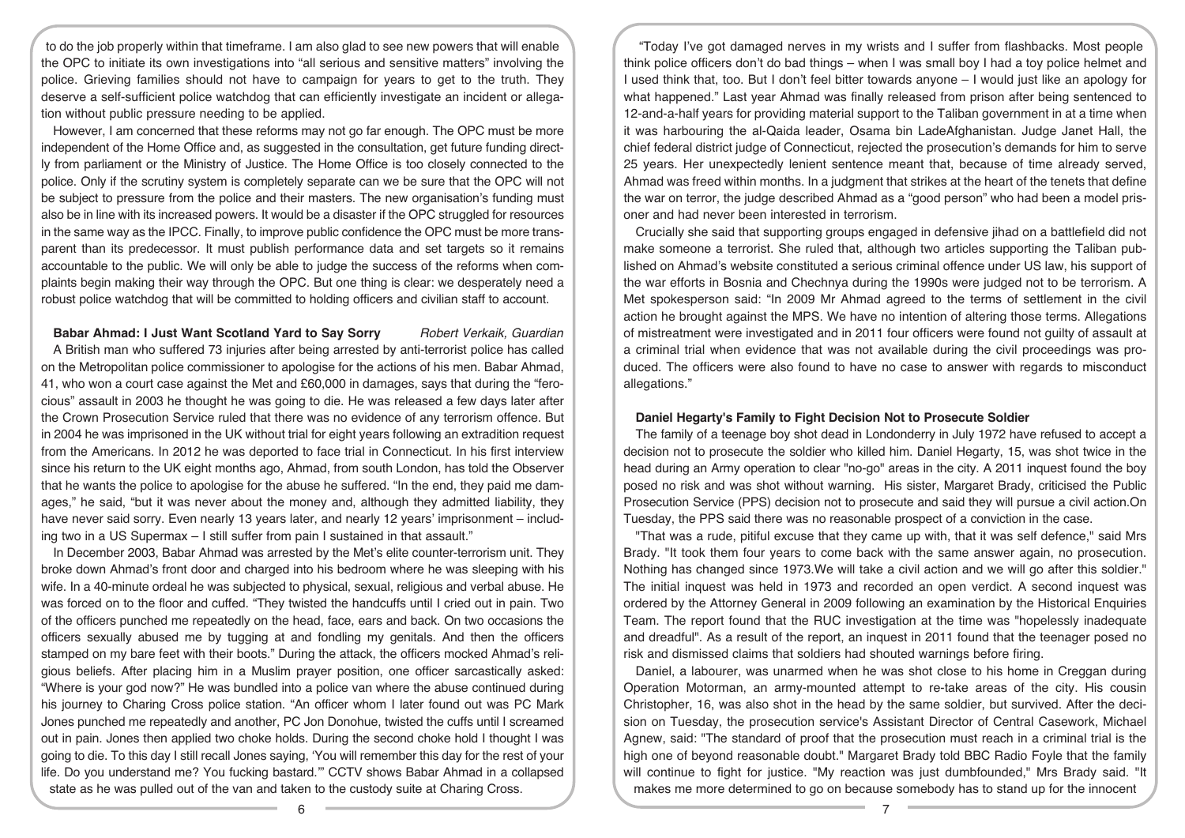to do the job properly within that timeframe. I am also glad to see new powers that will enable the OPC to initiate its own investigations into "all serious and sensitive matters" involving the police. Grieving families should not have to campaign for years to get to the truth. They deserve a self-sufficient police watchdog that can efficiently investigate an incident or allegation without public pressure needing to be applied.

However, I am concerned that these reforms may not go far enough. The OPC must be more independent of the Home Office and, as suggested in the consultation, get future funding directly from parliament or the Ministry of Justice. The Home Office is too closely connected to the police. Only if the scrutiny system is completely separate can we be sure that the OPC will not be subject to pressure from the police and their masters. The new organisation's funding must also be in line with its increased powers. It would be a disaster if the OPC struggled for resources in the same way as the IPCC. Finally, to improve public confidence the OPC must be more transparent than its predecessor. It must publish performance data and set targets so it remains accountable to the public. We will only be able to judge the success of the reforms when complaints begin making their way through the OPC. But one thing is clear: we desperately need a robust police watchdog that will be committed to holding officers and civilian staff to account.

# **Babar Ahmad: I Just Want Scotland Yard to Say Sorry** *Robert Verkaik, Guardian*

A British man who suffered 73 injuries after being arrested by anti-terrorist police has called on the Metropolitan police commissioner to apologise for the actions of his men. Babar Ahmad, 41, who won a court case against the Met and £60,000 in damages, says that during the "ferocious" assault in 2003 he thought he was going to die. He was released a few days later after the Crown Prosecution Service ruled that there was no evidence of any terrorism offence. But in 2004 he was imprisoned in the UK without trial for eight years following an extradition request from the Americans. In 2012 he was deported to face trial in Connecticut. In his first interview since his return to the UK eight months ago, Ahmad, from south London, has told the Observer that he wants the police to apologise for the abuse he suffered. "In the end, they paid me damages," he said, "but it was never about the money and, although they admitted liability, they have never said sorry. Even nearly 13 years later, and nearly 12 years' imprisonment – including two in a US Supermax – I still suffer from pain I sustained in that assault."

In December 2003, Babar Ahmad was arrested by the Met's elite counter-terrorism unit. They broke down Ahmad's front door and charged into his bedroom where he was sleeping with his wife. In a 40-minute ordeal he was subjected to physical, sexual, religious and verbal abuse. He was forced on to the floor and cuffed. "They twisted the handcuffs until I cried out in pain. Two of the officers punched me repeatedly on the head, face, ears and back. On two occasions the officers sexually abused me by tugging at and fondling my genitals. And then the officers stamped on my bare feet with their boots." During the attack, the officers mocked Ahmad's religious beliefs. After placing him in a Muslim prayer position, one officer sarcastically asked: "Where is your god now?" He was bundled into a police van where the abuse continued during his journey to Charing Cross police station. "An officer whom I later found out was PC Mark Jones punched me repeatedly and another, PC Jon Donohue, twisted the cuffs until I screamed out in pain. Jones then applied two choke holds. During the second choke hold I thought I was going to die. To this day I still recall Jones saying, 'You will remember this day for the rest of your life. Do you understand me? You fucking bastard.'" CCTV shows Babar Ahmad in a collapsed state as he was pulled out of the van and taken to the custody suite at Charing Cross.

"Today I've got damaged nerves in my wrists and I suffer from flashbacks. Most people think police officers don't do bad things – when I was small boy I had a toy police helmet and I used think that, too. But I don't feel bitter towards anyone – I would just like an apology for what happened." Last year Ahmad was finally released from prison after being sentenced to 12-and-a-half years for providing material support to the Taliban government in at a time when it was harbouring the al-Qaida leader, Osama bin LadeAfghanistan. Judge Janet Hall, the chief federal district judge of Connecticut, rejected the prosecution's demands for him to serve 25 years. Her unexpectedly lenient sentence meant that, because of time already served, Ahmad was freed within months. In a judgment that strikes at the heart of the tenets that define the war on terror, the judge described Ahmad as a "good person" who had been a model prisoner and had never been interested in terrorism.

Crucially she said that supporting groups engaged in defensive jihad on a battlefield did not make someone a terrorist. She ruled that, although two articles supporting the Taliban published on Ahmad's website constituted a serious criminal offence under US law, his support of the war efforts in Bosnia and Chechnya during the 1990s were judged not to be terrorism. A Met spokesperson said: "In 2009 Mr Ahmad agreed to the terms of settlement in the civil action he brought against the MPS. We have no intention of altering those terms. Allegations of mistreatment were investigated and in 2011 four officers were found not guilty of assault at a criminal trial when evidence that was not available during the civil proceedings was produced. The officers were also found to have no case to answer with regards to misconduct allegations."

## **Daniel Hegarty's Family to Fight Decision Not to Prosecute Soldier**

The family of a teenage boy shot dead in Londonderry in July 1972 have refused to accept a decision not to prosecute the soldier who killed him. Daniel Hegarty, 15, was shot twice in the head during an Army operation to clear "no-go" areas in the city. A 2011 inquest found the boy posed no risk and was shot without warning. His sister, Margaret Brady, criticised the Public Prosecution Service (PPS) decision not to prosecute and said they will pursue a civil action.On Tuesday, the PPS said there was no reasonable prospect of a conviction in the case.

"That was a rude, pitiful excuse that they came up with, that it was self defence," said Mrs Brady. "It took them four years to come back with the same answer again, no prosecution. Nothing has changed since 1973.We will take a civil action and we will go after this soldier." The initial inquest was held in 1973 and recorded an open verdict. A second inquest was ordered by the Attorney General in 2009 following an examination by the Historical Enquiries Team. The report found that the RUC investigation at the time was "hopelessly inadequate and dreadful". As a result of the report, an inquest in 2011 found that the teenager posed no risk and dismissed claims that soldiers had shouted warnings before firing.

Daniel, a labourer, was unarmed when he was shot close to his home in Creggan during Operation Motorman, an army-mounted attempt to re-take areas of the city. His cousin Christopher, 16, was also shot in the head by the same soldier, but survived. After the decision on Tuesday, the prosecution service's Assistant Director of Central Casework, Michael Agnew, said: "The standard of proof that the prosecution must reach in a criminal trial is the high one of beyond reasonable doubt." Margaret Brady told BBC Radio Foyle that the family will continue to fight for justice. "My reaction was just dumbfounded," Mrs Brady said. "It makes me more determined to go on because somebody has to stand up for the innocent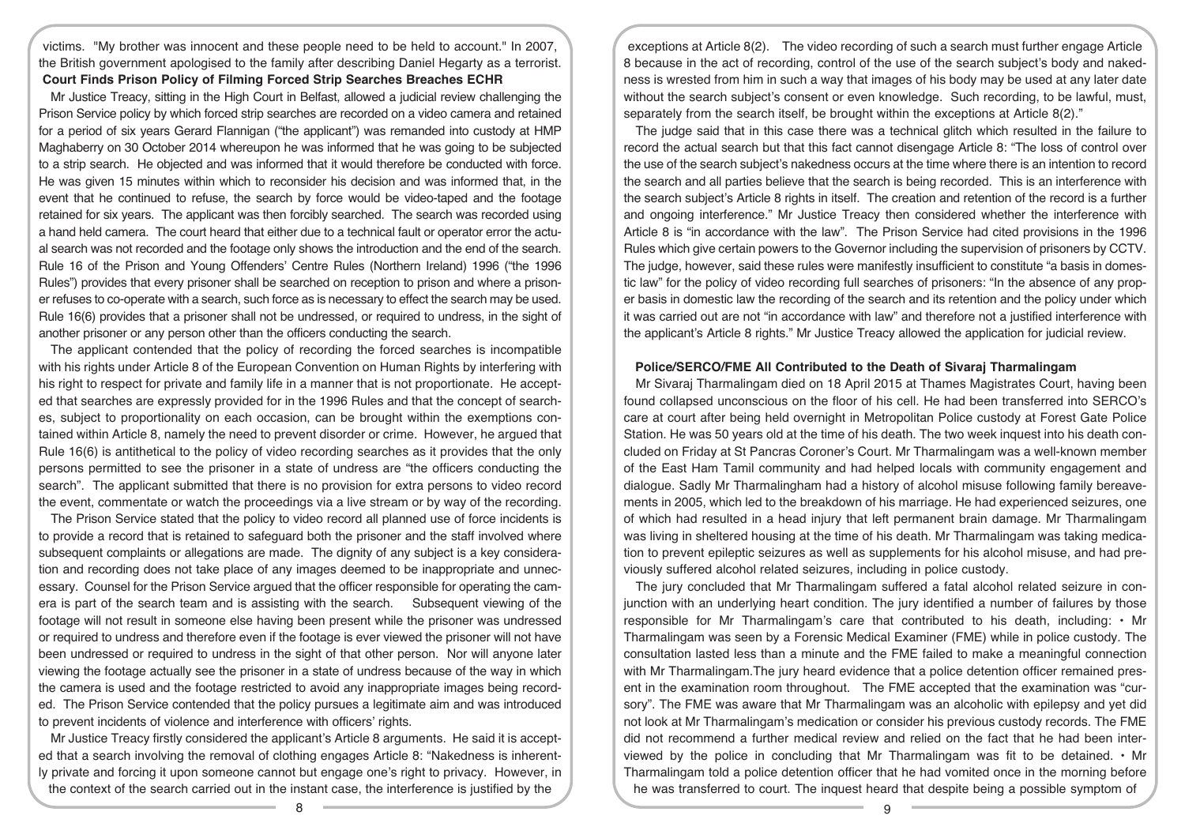victims. "My brother was innocent and these people need to be held to account." In 2007, the British government apologised to the family after describing Daniel Hegarty as a terrorist. **Court Finds Prison Policy of Filming Forced Strip Searches Breaches ECHR**

Mr Justice Treacy, sitting in the High Court in Belfast, allowed a judicial review challenging the Prison Service policy by which forced strip searches are recorded on a video camera and retained for a period of six years Gerard Flannigan ("the applicant") was remanded into custody at HMP Maghaberry on 30 October 2014 whereupon he was informed that he was going to be subjected to a strip search. He objected and was informed that it would therefore be conducted with force. He was given 15 minutes within which to reconsider his decision and was informed that, in the event that he continued to refuse, the search by force would be video-taped and the footage retained for six years. The applicant was then forcibly searched. The search was recorded using a hand held camera. The court heard that either due to a technical fault or operator error the actual search was not recorded and the footage only shows the introduction and the end of the search. Rule 16 of the Prison and Young Offenders' Centre Rules (Northern Ireland) 1996 ("the 1996 Rules") provides that every prisoner shall be searched on reception to prison and where a prisoner refuses to co-operate with a search, such force as is necessary to effect the search may be used. Rule 16(6) provides that a prisoner shall not be undressed, or required to undress, in the sight of another prisoner or any person other than the officers conducting the search.

The applicant contended that the policy of recording the forced searches is incompatible with his rights under Article 8 of the European Convention on Human Rights by interfering with his right to respect for private and family life in a manner that is not proportionate. He accepted that searches are expressly provided for in the 1996 Rules and that the concept of searches, subject to proportionality on each occasion, can be brought within the exemptions contained within Article 8, namely the need to prevent disorder or crime. However, he argued that Rule 16(6) is antithetical to the policy of video recording searches as it provides that the only persons permitted to see the prisoner in a state of undress are "the officers conducting the search". The applicant submitted that there is no provision for extra persons to video record the event, commentate or watch the proceedings via a live stream or by way of the recording.

The Prison Service stated that the policy to video record all planned use of force incidents is to provide a record that is retained to safeguard both the prisoner and the staff involved where subsequent complaints or allegations are made. The dignity of any subject is a key consideration and recording does not take place of any images deemed to be inappropriate and unnecessary. Counsel for the Prison Service argued that the officer responsible for operating the camera is part of the search team and is assisting with the search. Subsequent viewing of the footage will not result in someone else having been present while the prisoner was undressed or required to undress and therefore even if the footage is ever viewed the prisoner will not have been undressed or required to undress in the sight of that other person. Nor will anyone later viewing the footage actually see the prisoner in a state of undress because of the way in which the camera is used and the footage restricted to avoid any inappropriate images being recorded. The Prison Service contended that the policy pursues a legitimate aim and was introduced to prevent incidents of violence and interference with officers' rights.

Mr Justice Treacy firstly considered the applicant's Article 8 arguments. He said it is accepted that a search involving the removal of clothing engages Article 8: "Nakedness is inherently private and forcing it upon someone cannot but engage one's right to privacy. However, in the context of the search carried out in the instant case, the interference is justified by the

exceptions at Article 8(2). The video recording of such a search must further engage Article 8 because in the act of recording, control of the use of the search subject's body and nakedness is wrested from him in such a way that images of his body may be used at any later date without the search subject's consent or even knowledge. Such recording, to be lawful, must, separately from the search itself, be brought within the exceptions at Article 8(2)."

The judge said that in this case there was a technical glitch which resulted in the failure to record the actual search but that this fact cannot disengage Article 8: "The loss of control over the use of the search subject's nakedness occurs at the time where there is an intention to record the search and all parties believe that the search is being recorded. This is an interference with the search subject's Article 8 rights in itself. The creation and retention of the record is a further and ongoing interference." Mr Justice Treacy then considered whether the interference with Article 8 is "in accordance with the law". The Prison Service had cited provisions in the 1996 Rules which give certain powers to the Governor including the supervision of prisoners by CCTV. The judge, however, said these rules were manifestly insufficient to constitute "a basis in domestic law" for the policy of video recording full searches of prisoners: "In the absence of any proper basis in domestic law the recording of the search and its retention and the policy under which it was carried out are not "in accordance with law" and therefore not a justified interference with the applicant's Article 8 rights." Mr Justice Treacy allowed the application for judicial review.

## **Police/SERCO/FME All Contributed to the Death of Sivaraj Tharmalingam**

Mr Sivaraj Tharmalingam died on 18 April 2015 at Thames Magistrates Court, having been found collapsed unconscious on the floor of his cell. He had been transferred into SERCO's care at court after being held overnight in Metropolitan Police custody at Forest Gate Police Station. He was 50 years old at the time of his death. The two week inquest into his death concluded on Friday at St Pancras Coroner's Court. Mr Tharmalingam was a well-known member of the East Ham Tamil community and had helped locals with community engagement and dialogue. Sadly Mr Tharmalingham had a history of alcohol misuse following family bereavements in 2005, which led to the breakdown of his marriage. He had experienced seizures, one of which had resulted in a head injury that left permanent brain damage. Mr Tharmalingam was living in sheltered housing at the time of his death. Mr Tharmalingam was taking medication to prevent epileptic seizures as well as supplements for his alcohol misuse, and had previously suffered alcohol related seizures, including in police custody.

The jury concluded that Mr Tharmalingam suffered a fatal alcohol related seizure in conjunction with an underlying heart condition. The jury identified a number of failures by those responsible for Mr Tharmalingam's care that contributed to his death, including: • Mr Tharmalingam was seen by a Forensic Medical Examiner (FME) while in police custody. The consultation lasted less than a minute and the FME failed to make a meaningful connection with Mr Tharmalingam.The jury heard evidence that a police detention officer remained present in the examination room throughout. The FME accepted that the examination was "cursory". The FME was aware that Mr Tharmalingam was an alcoholic with epilepsy and yet did not look at Mr Tharmalingam's medication or consider his previous custody records. The FME did not recommend a further medical review and relied on the fact that he had been interviewed by the police in concluding that Mr Tharmalingam was fit to be detained. • Mr Tharmalingam told a police detention officer that he had vomited once in the morning before he was transferred to court. The inquest heard that despite being a possible symptom of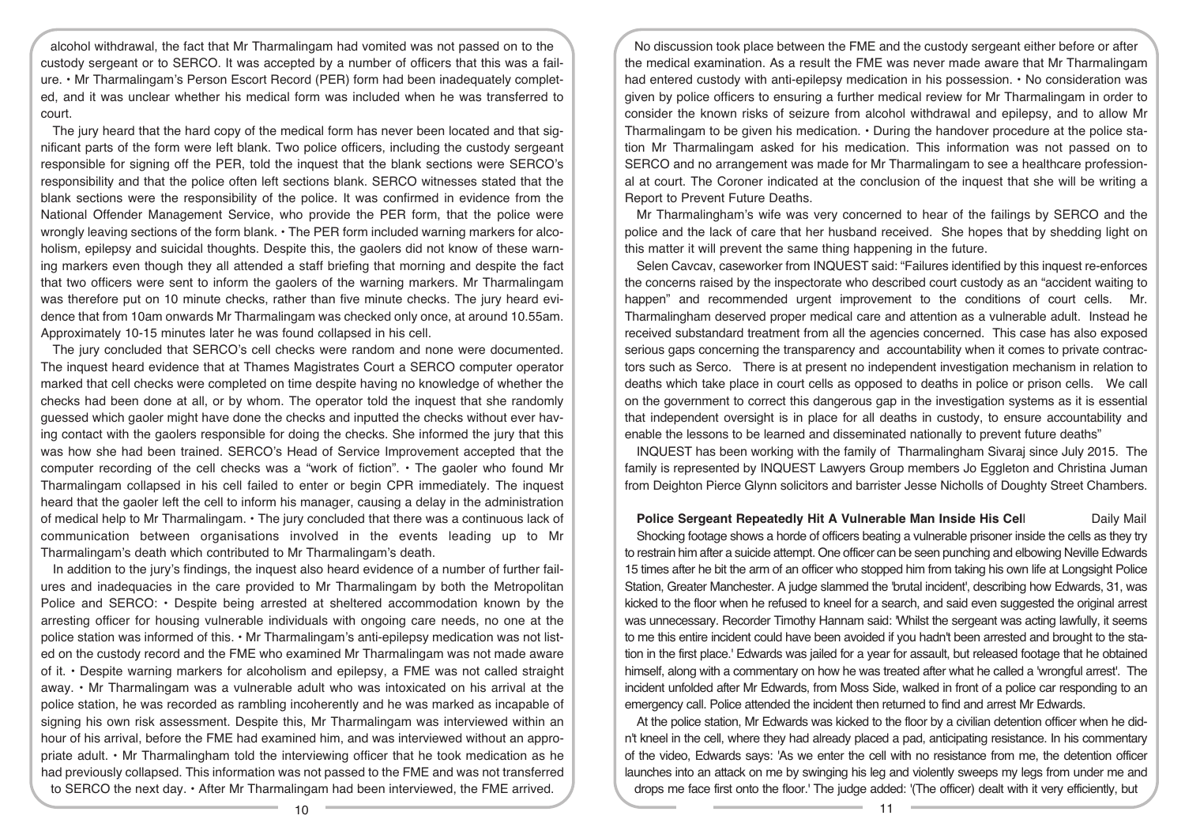alcohol withdrawal, the fact that Mr Tharmalingam had vomited was not passed on to the custody sergeant or to SERCO. It was accepted by a number of officers that this was a failure. • Mr Tharmalingam's Person Escort Record (PER) form had been inadequately completed, and it was unclear whether his medical form was included when he was transferred to court.

The jury heard that the hard copy of the medical form has never been located and that significant parts of the form were left blank. Two police officers, including the custody sergeant responsible for signing off the PER, told the inquest that the blank sections were SERCO's responsibility and that the police often left sections blank. SERCO witnesses stated that the blank sections were the responsibility of the police. It was confirmed in evidence from the National Offender Management Service, who provide the PER form, that the police were wrongly leaving sections of the form blank. • The PER form included warning markers for alcoholism, epilepsy and suicidal thoughts. Despite this, the gaolers did not know of these warning markers even though they all attended a staff briefing that morning and despite the fact that two officers were sent to inform the gaolers of the warning markers. Mr Tharmalingam was therefore put on 10 minute checks, rather than five minute checks. The jury heard evidence that from 10am onwards Mr Tharmalingam was checked only once, at around 10.55am. Approximately 10-15 minutes later he was found collapsed in his cell.

The jury concluded that SERCO's cell checks were random and none were documented. The inquest heard evidence that at Thames Magistrates Court a SERCO computer operator marked that cell checks were completed on time despite having no knowledge of whether the checks had been done at all, or by whom. The operator told the inquest that she randomly guessed which gaoler might have done the checks and inputted the checks without ever having contact with the gaolers responsible for doing the checks. She informed the jury that this was how she had been trained. SERCO's Head of Service Improvement accepted that the computer recording of the cell checks was a "work of fiction". • The gaoler who found Mr Tharmalingam collapsed in his cell failed to enter or begin CPR immediately. The inquest heard that the gaoler left the cell to inform his manager, causing a delay in the administration of medical help to Mr Tharmalingam. • The jury concluded that there was a continuous lack of communication between organisations involved in the events leading up to Mr Tharmalingam's death which contributed to Mr Tharmalingam's death.

In addition to the jury's findings, the inquest also heard evidence of a number of further failures and inadequacies in the care provided to Mr Tharmalingam by both the Metropolitan Police and SERCO: • Despite being arrested at sheltered accommodation known by the arresting officer for housing vulnerable individuals with ongoing care needs, no one at the police station was informed of this. • Mr Tharmalingam's anti-epilepsy medication was not listed on the custody record and the FME who examined Mr Tharmalingam was not made aware of it. • Despite warning markers for alcoholism and epilepsy, a FME was not called straight away. • Mr Tharmalingam was a vulnerable adult who was intoxicated on his arrival at the police station, he was recorded as rambling incoherently and he was marked as incapable of signing his own risk assessment. Despite this, Mr Tharmalingam was interviewed within an hour of his arrival, before the FME had examined him, and was interviewed without an appropriate adult. • Mr Tharmalingham told the interviewing officer that he took medication as he had previously collapsed. This information was not passed to the FME and was not transferred to SERCO the next day. • After Mr Tharmalingam had been interviewed, the FME arrived.

No discussion took place between the FME and the custody sergeant either before or after the medical examination. As a result the FME was never made aware that Mr Tharmalingam had entered custody with anti-epilepsy medication in his possession. • No consideration was given by police officers to ensuring a further medical review for Mr Tharmalingam in order to consider the known risks of seizure from alcohol withdrawal and epilepsy, and to allow Mr Tharmalingam to be given his medication. • During the handover procedure at the police station Mr Tharmalingam asked for his medication. This information was not passed on to SERCO and no arrangement was made for Mr Tharmalingam to see a healthcare professional at court. The Coroner indicated at the conclusion of the inquest that she will be writing a Report to Prevent Future Deaths.

Mr Tharmalingham's wife was very concerned to hear of the failings by SERCO and the police and the lack of care that her husband received. She hopes that by shedding light on this matter it will prevent the same thing happening in the future.

Selen Cavcav, caseworker from INQUEST said: "Failures identified by this inquest re-enforces the concerns raised by the inspectorate who described court custody as an "accident waiting to happen" and recommended urgent improvement to the conditions of court cells. Mr. Tharmalingham deserved proper medical care and attention as a vulnerable adult. Instead he received substandard treatment from all the agencies concerned. This case has also exposed serious gaps concerning the transparency and accountability when it comes to private contractors such as Serco. There is at present no independent investigation mechanism in relation to deaths which take place in court cells as opposed to deaths in police or prison cells. We call on the government to correct this dangerous gap in the investigation systems as it is essential that independent oversight is in place for all deaths in custody, to ensure accountability and enable the lessons to be learned and disseminated nationally to prevent future deaths"

INQUEST has been working with the family of Tharmalingham Sivaraj since July 2015. The family is represented by INQUEST Lawyers Group members Jo Eggleton and Christina Juman from Deighton Pierce Glynn solicitors and barrister Jesse Nicholls of Doughty Street Chambers.

**Police Sergeant Repeatedly Hit A Vulnerable Man Inside His Cel**l Daily Mail Shocking footage shows a horde of officers beating a vulnerable prisoner inside the cells as they try to restrain him after a suicide attempt. One officer can be seen punching and elbowing Neville Edwards 15 times after he bit the arm of an officer who stopped him from taking his own life at Longsight Police Station, Greater Manchester. A judge slammed the 'brutal incident', describing how Edwards, 31, was kicked to the floor when he refused to kneel for a search, and said even suggested the original arrest was unnecessary. Recorder Timothy Hannam said: 'Whilst the sergeant was acting lawfully, it seems to me this entire incident could have been avoided if you hadn't been arrested and brought to the station in the first place.' Edwards was jailed for a year for assault, but released footage that he obtained himself, along with a commentary on how he was treated after what he called a 'wrongful arrest'. The incident unfolded after Mr Edwards, from Moss Side, walked in front of a police car responding to an emergency call. Police attended the incident then returned to find and arrest Mr Edwards.

At the police station, Mr Edwards was kicked to the floor by a civilian detention officer when he didn't kneel in the cell, where they had already placed a pad, anticipating resistance. In his commentary of the video, Edwards says: 'As we enter the cell with no resistance from me, the detention officer launches into an attack on me by swinging his leg and violently sweeps my legs from under me and drops me face first onto the floor.' The judge added: '(The officer) dealt with it very efficiently, but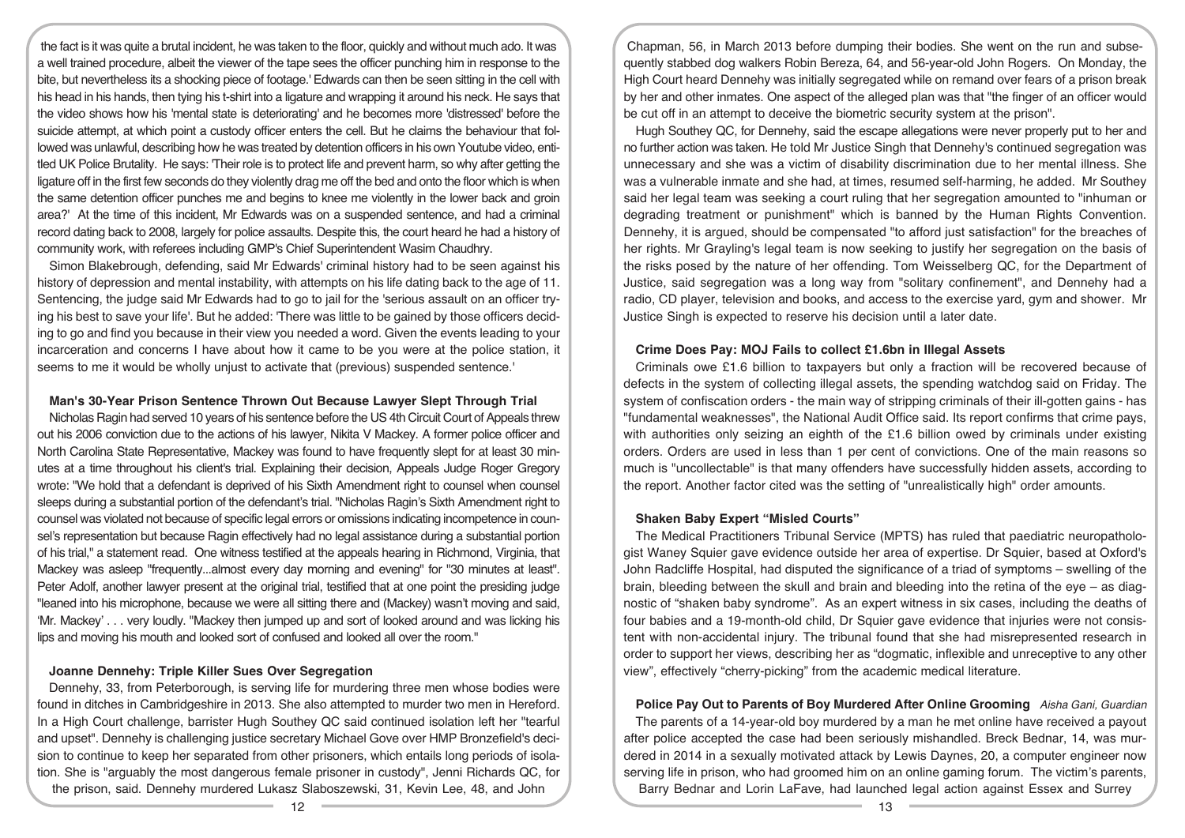the fact is it was quite a brutal incident, he was taken to the floor, quickly and without much ado. It was a well trained procedure, albeit the viewer of the tape sees the officer punching him in response to the bite, but nevertheless its a shocking piece of footage.' Edwards can then be seen sitting in the cell with his head in his hands, then tying his t-shirt into a ligature and wrapping it around his neck. He says that the video shows how his 'mental state is deteriorating' and he becomes more 'distressed' before the suicide attempt, at which point a custody officer enters the cell. But he claims the behaviour that followed was unlawful, describing how he was treated by detention officers in his own Youtube video, entitled UK Police Brutality. He says: 'Their role is to protect life and prevent harm, so why after getting the ligature off in the first few seconds do they violently drag me off the bed and onto the floor which is when the same detention officer punches me and begins to knee me violently in the lower back and groin area?' At the time of this incident, Mr Edwards was on a suspended sentence, and had a criminal record dating back to 2008, largely for police assaults. Despite this, the court heard he had a history of community work, with referees including GMP's Chief Superintendent Wasim Chaudhry.

Simon Blakebrough, defending, said Mr Edwards' criminal history had to be seen against his history of depression and mental instability, with attempts on his life dating back to the age of 11. Sentencing, the judge said Mr Edwards had to go to jail for the 'serious assault on an officer trying his best to save your life'. But he added: 'There was little to be gained by those officers deciding to go and find you because in their view you needed a word. Given the events leading to your incarceration and concerns I have about how it came to be you were at the police station, it seems to me it would be wholly unjust to activate that (previous) suspended sentence.'

## **Man's 30-Year Prison Sentence Thrown Out Because Lawyer Slept Through Trial**

Nicholas Ragin had served 10 years of his sentence before the US 4th Circuit Court of Appeals threw out his 2006 conviction due to the actions of his lawyer, Nikita V Mackey. A former police officer and North Carolina State Representative, Mackey was found to have frequently slept for at least 30 minutes at a time throughout his client's trial. Explaining their decision, Appeals Judge Roger Gregory wrote: "We hold that a defendant is deprived of his Sixth Amendment right to counsel when counsel sleeps during a substantial portion of the defendant's trial. "Nicholas Ragin's Sixth Amendment right to counsel was violated not because of specific legal errors or omissions indicating incompetence in counsel's representation but because Ragin effectively had no legal assistance during a substantial portion of his trial," a statement read. One witness testified at the appeals hearing in Richmond, Virginia, that Mackey was asleep "frequently...almost every day morning and evening" for "30 minutes at least". Peter Adolf, another lawyer present at the original trial, testified that at one point the presiding judge "leaned into his microphone, because we were all sitting there and (Mackey) wasn't moving and said, 'Mr. Mackey' . . . very loudly. "Mackey then jumped up and sort of looked around and was licking his lips and moving his mouth and looked sort of confused and looked all over the room."

## **Joanne Dennehy: Triple Killer Sues Over Segregation**

Dennehy, 33, from Peterborough, is serving life for murdering three men whose bodies were found in ditches in Cambridgeshire in 2013. She also attempted to murder two men in Hereford. In a High Court challenge, barrister Hugh Southey QC said continued isolation left her "tearful and upset". Dennehy is challenging justice secretary Michael Gove over HMP Bronzefield's decision to continue to keep her separated from other prisoners, which entails long periods of isolation. She is "arguably the most dangerous female prisoner in custody", Jenni Richards QC, for the prison, said. Dennehy murdered Lukasz Slaboszewski, 31, Kevin Lee, 48, and John

Chapman, 56, in March 2013 before dumping their bodies. She went on the run and subsequently stabbed dog walkers Robin Bereza, 64, and 56-year-old John Rogers. On Monday, the High Court heard Dennehy was initially segregated while on remand over fears of a prison break by her and other inmates. One aspect of the alleged plan was that "the finger of an officer would be cut off in an attempt to deceive the biometric security system at the prison".

Hugh Southey QC, for Dennehy, said the escape allegations were never properly put to her and no further action was taken. He told Mr Justice Singh that Dennehy's continued segregation was unnecessary and she was a victim of disability discrimination due to her mental illness. She was a vulnerable inmate and she had, at times, resumed self-harming, he added. Mr Southey said her legal team was seeking a court ruling that her segregation amounted to "inhuman or degrading treatment or punishment" which is banned by the Human Rights Convention. Dennehy, it is argued, should be compensated "to afford just satisfaction" for the breaches of her rights. Mr Grayling's legal team is now seeking to justify her segregation on the basis of the risks posed by the nature of her offending. Tom Weisselberg QC, for the Department of Justice, said segregation was a long way from "solitary confinement", and Dennehy had a radio, CD player, television and books, and access to the exercise yard, gym and shower. Mr Justice Singh is expected to reserve his decision until a later date.

## **Crime Does Pay: MOJ Fails to collect £1.6bn in Illegal Assets**

Criminals owe £1.6 billion to taxpayers but only a fraction will be recovered because of defects in the system of collecting illegal assets, the spending watchdog said on Friday. The system of confiscation orders - the main way of stripping criminals of their ill-gotten gains - has "fundamental weaknesses", the National Audit Office said. Its report confirms that crime pays, with authorities only seizing an eighth of the £1.6 billion owed by criminals under existing orders. Orders are used in less than 1 per cent of convictions. One of the main reasons so much is "uncollectable" is that many offenders have successfully hidden assets, according to the report. Another factor cited was the setting of "unrealistically high" order amounts.

# **Shaken Baby Expert "Misled Courts"**

The Medical Practitioners Tribunal Service (MPTS) has ruled that paediatric neuropathologist Waney Squier gave evidence outside her area of expertise. Dr Squier, based at Oxford's John Radcliffe Hospital, had disputed the significance of a triad of symptoms – swelling of the brain, bleeding between the skull and brain and bleeding into the retina of the eye – as diagnostic of "shaken baby syndrome". As an expert witness in six cases, including the deaths of four babies and a 19-month-old child, Dr Squier gave evidence that injuries were not consistent with non-accidental injury. The tribunal found that she had misrepresented research in order to support her views, describing her as "dogmatic, inflexible and unreceptive to any other view", effectively "cherry-picking" from the academic medical literature.

**Police Pay Out to Parents of Boy Murdered After Online Grooming** *Aisha Gani, Guardian* The parents of a 14-year-old boy murdered by a man he met online have received a payout after police accepted the case had been seriously mishandled. Breck Bednar, 14, was murdered in 2014 in a sexually motivated attack by Lewis Daynes, 20, a computer engineer now serving life in prison, who had groomed him on an online gaming forum. The victim's parents, Barry Bednar and Lorin LaFave, had launched legal action against Essex and Surrey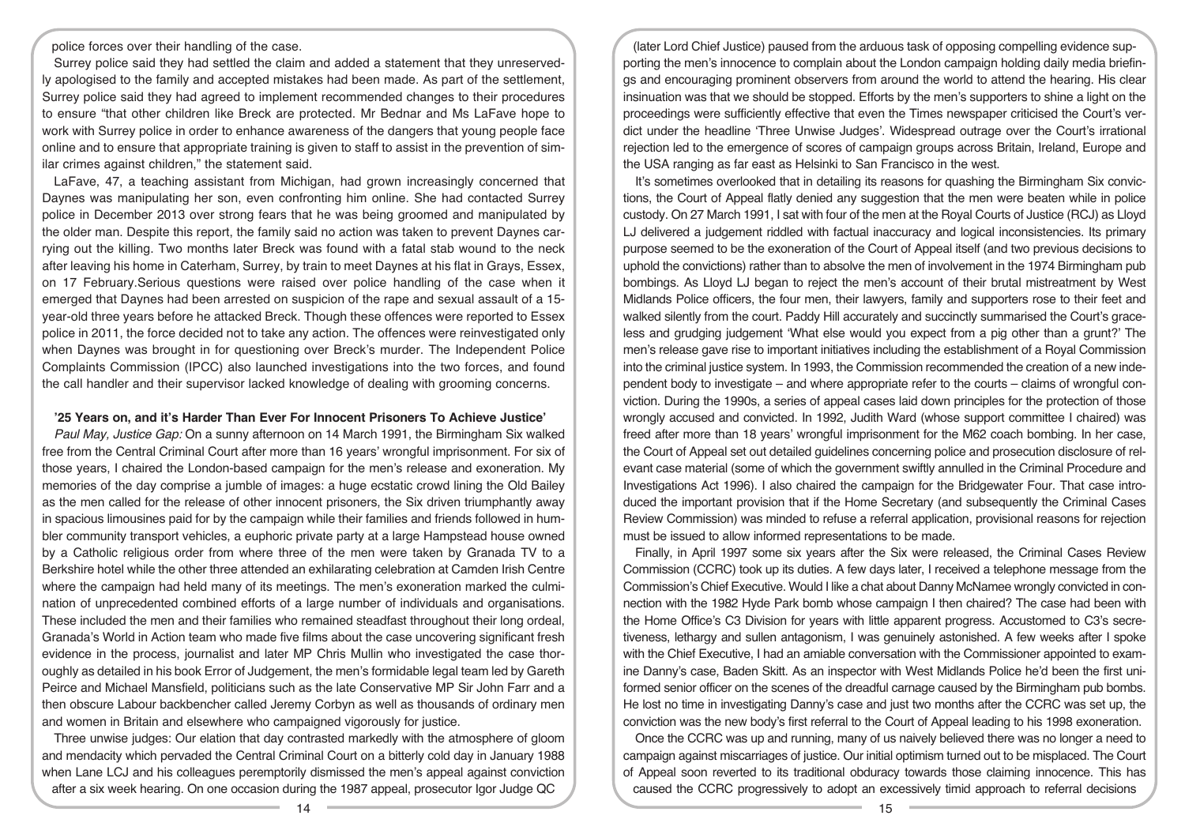# police forces over their handling of the case.

Surrey police said they had settled the claim and added a statement that they unreservedly apologised to the family and accepted mistakes had been made. As part of the settlement, Surrey police said they had agreed to implement recommended changes to their procedures to ensure "that other children like Breck are protected. Mr Bednar and Ms LaFave hope to work with Surrey police in order to enhance awareness of the dangers that young people face online and to ensure that appropriate training is given to staff to assist in the prevention of similar crimes against children," the statement said.

LaFave, 47, a teaching assistant from Michigan, had grown increasingly concerned that Daynes was manipulating her son, even confronting him online. She had contacted Surrey police in December 2013 over strong fears that he was being groomed and manipulated by the older man. Despite this report, the family said no action was taken to prevent Daynes carrying out the killing. Two months later Breck was found with a fatal stab wound to the neck after leaving his home in Caterham, Surrey, by train to meet Daynes at his flat in Grays, Essex, on 17 February.Serious questions were raised over police handling of the case when it emerged that Daynes had been arrested on suspicion of the rape and sexual assault of a 15 year-old three years before he attacked Breck. Though these offences were reported to Essex police in 2011, the force decided not to take any action. The offences were reinvestigated only when Daynes was brought in for questioning over Breck's murder. The Independent Police Complaints Commission (IPCC) also launched investigations into the two forces, and found the call handler and their supervisor lacked knowledge of dealing with grooming concerns.

#### **'25 Years on, and it's Harder Than Ever For Innocent Prisoners To Achieve Justice'**

*Paul May, Justice Gap:* On a sunny afternoon on 14 March 1991, the Birmingham Six walked free from the Central Criminal Court after more than 16 years' wrongful imprisonment. For six of those years, I chaired the London-based campaign for the men's release and exoneration. My memories of the day comprise a jumble of images: a huge ecstatic crowd lining the Old Bailey as the men called for the release of other innocent prisoners, the Six driven triumphantly away in spacious limousines paid for by the campaign while their families and friends followed in humbler community transport vehicles, a euphoric private party at a large Hampstead house owned by a Catholic religious order from where three of the men were taken by Granada TV to a Berkshire hotel while the other three attended an exhilarating celebration at Camden Irish Centre where the campaign had held many of its meetings. The men's exoneration marked the culmination of unprecedented combined efforts of a large number of individuals and organisations. These included the men and their families who remained steadfast throughout their long ordeal, Granada's World in Action team who made five films about the case uncovering significant fresh evidence in the process, journalist and later MP Chris Mullin who investigated the case thoroughly as detailed in his book Error of Judgement, the men's formidable legal team led by Gareth Peirce and Michael Mansfield, politicians such as the late Conservative MP Sir John Farr and a then obscure Labour backbencher called Jeremy Corbyn as well as thousands of ordinary men and women in Britain and elsewhere who campaigned vigorously for justice.

Three unwise judges: Our elation that day contrasted markedly with the atmosphere of gloom and mendacity which pervaded the Central Criminal Court on a bitterly cold day in January 1988 when Lane LCJ and his colleagues peremptorily dismissed the men's appeal against conviction after a six week hearing. On one occasion during the 1987 appeal, prosecutor Igor Judge QC

(later Lord Chief Justice) paused from the arduous task of opposing compelling evidence supporting the men's innocence to complain about the London campaign holding daily media briefings and encouraging prominent observers from around the world to attend the hearing. His clear insinuation was that we should be stopped. Efforts by the men's supporters to shine a light on the proceedings were sufficiently effective that even the Times newspaper criticised the Court's verdict under the headline 'Three Unwise Judges'. Widespread outrage over the Court's irrational rejection led to the emergence of scores of campaign groups across Britain, Ireland, Europe and the USA ranging as far east as Helsinki to San Francisco in the west.

It's sometimes overlooked that in detailing its reasons for quashing the Birmingham Six convictions, the Court of Appeal flatly denied any suggestion that the men were beaten while in police custody. On 27 March 1991, I sat with four of the men at the Royal Courts of Justice (RCJ) as Lloyd LJ delivered a judgement riddled with factual inaccuracy and logical inconsistencies. Its primary purpose seemed to be the exoneration of the Court of Appeal itself (and two previous decisions to uphold the convictions) rather than to absolve the men of involvement in the 1974 Birmingham pub bombings. As Lloyd LJ began to reject the men's account of their brutal mistreatment by West Midlands Police officers, the four men, their lawyers, family and supporters rose to their feet and walked silently from the court. Paddy Hill accurately and succinctly summarised the Court's graceless and grudging judgement 'What else would you expect from a pig other than a grunt?' The men's release gave rise to important initiatives including the establishment of a Royal Commission into the criminal justice system. In 1993, the Commission recommended the creation of a new independent body to investigate – and where appropriate refer to the courts – claims of wrongful conviction. During the 1990s, a series of appeal cases laid down principles for the protection of those wrongly accused and convicted. In 1992, Judith Ward (whose support committee I chaired) was freed after more than 18 years' wrongful imprisonment for the M62 coach bombing. In her case, the Court of Appeal set out detailed guidelines concerning police and prosecution disclosure of relevant case material (some of which the government swiftly annulled in the Criminal Procedure and Investigations Act 1996). I also chaired the campaign for the Bridgewater Four. That case introduced the important provision that if the Home Secretary (and subsequently the Criminal Cases Review Commission) was minded to refuse a referral application, provisional reasons for rejection must be issued to allow informed representations to be made.

Finally, in April 1997 some six years after the Six were released, the Criminal Cases Review Commission (CCRC) took up its duties. A few days later, I received a telephone message from the Commission's Chief Executive. Would I like a chat about Danny McNamee wrongly convicted in connection with the 1982 Hyde Park bomb whose campaign I then chaired? The case had been with the Home Office's C3 Division for years with little apparent progress. Accustomed to C3's secretiveness, lethargy and sullen antagonism, I was genuinely astonished. A few weeks after I spoke with the Chief Executive, I had an amiable conversation with the Commissioner appointed to examine Danny's case, Baden Skitt. As an inspector with West Midlands Police he'd been the first uniformed senior officer on the scenes of the dreadful carnage caused by the Birmingham pub bombs. He lost no time in investigating Danny's case and just two months after the CCRC was set up, the conviction was the new body's first referral to the Court of Appeal leading to his 1998 exoneration.

Once the CCRC was up and running, many of us naively believed there was no longer a need to campaign against miscarriages of justice. Our initial optimism turned out to be misplaced. The Court of Appeal soon reverted to its traditional obduracy towards those claiming innocence. This has caused the CCRC progressively to adopt an excessively timid approach to referral decisions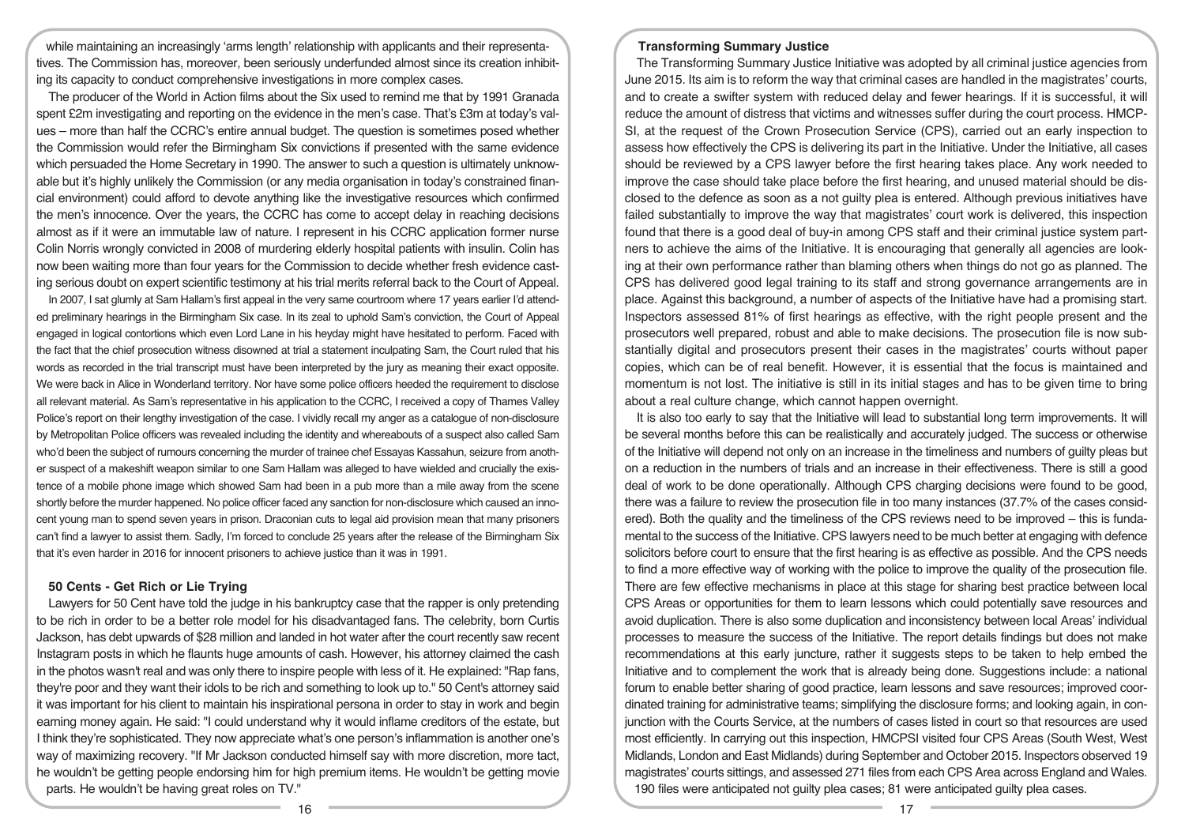while maintaining an increasingly 'arms length' relationship with applicants and their representatives. The Commission has, moreover, been seriously underfunded almost since its creation inhibiting its capacity to conduct comprehensive investigations in more complex cases.

The producer of the World in Action films about the Six used to remind me that by 1991 Granada spent £2m investigating and reporting on the evidence in the men's case. That's £3m at today's values – more than half the CCRC's entire annual budget. The question is sometimes posed whether the Commission would refer the Birmingham Six convictions if presented with the same evidence which persuaded the Home Secretary in 1990. The answer to such a question is ultimately unknowable but it's highly unlikely the Commission (or any media organisation in today's constrained financial environment) could afford to devote anything like the investigative resources which confirmed the men's innocence. Over the years, the CCRC has come to accept delay in reaching decisions almost as if it were an immutable law of nature. I represent in his CCRC application former nurse Colin Norris wrongly convicted in 2008 of murdering elderly hospital patients with insulin. Colin has now been waiting more than four years for the Commission to decide whether fresh evidence casting serious doubt on expert scientific testimony at his trial merits referral back to the Court of Appeal.

In 2007, I sat glumly at Sam Hallam's first appeal in the very same courtroom where 17 years earlier I'd attended preliminary hearings in the Birmingham Six case. In its zeal to uphold Sam's conviction, the Court of Appeal engaged in logical contortions which even Lord Lane in his heyday might have hesitated to perform. Faced with the fact that the chief prosecution witness disowned at trial a statement inculpating Sam, the Court ruled that his words as recorded in the trial transcript must have been interpreted by the jury as meaning their exact opposite. We were back in Alice in Wonderland territory. Nor have some police officers heeded the requirement to disclose all relevant material. As Sam's representative in his application to the CCRC, I received a copy of Thames Valley Police's report on their lengthy investigation of the case. I vividly recall my anger as a catalogue of non-disclosure by Metropolitan Police officers was revealed including the identity and whereabouts of a suspect also called Sam who'd been the subject of rumours concerning the murder of trainee chef Essayas Kassahun, seizure from another suspect of a makeshift weapon similar to one Sam Hallam was alleged to have wielded and crucially the existence of a mobile phone image which showed Sam had been in a pub more than a mile away from the scene shortly before the murder happened. No police officer faced any sanction for non-disclosure which caused an innocent young man to spend seven years in prison. Draconian cuts to legal aid provision mean that many prisoners can't find a lawyer to assist them. Sadly, I'm forced to conclude 25 years after the release of the Birmingham Six that it's even harder in 2016 for innocent prisoners to achieve justice than it was in 1991.

## **50 Cents - Get Rich or Lie Trying**

Lawyers for 50 Cent have told the judge in his bankruptcy case that the rapper is only pretending to be rich in order to be a better role model for his disadvantaged fans. The celebrity, born Curtis Jackson, has debt upwards of \$28 million and landed in hot water after the court recently saw recent Instagram posts in which he flaunts huge amounts of cash. However, his attorney claimed the cash in the photos wasn't real and was only there to inspire people with less of it. He explained: "Rap fans, they're poor and they want their idols to be rich and something to look up to." 50 Cent's attorney said it was important for his client to maintain his inspirational persona in order to stay in work and begin earning money again. He said: "I could understand why it would inflame creditors of the estate, but I think they're sophisticated. They now appreciate what's one person's inflammation is another one's way of maximizing recovery. "If Mr Jackson conducted himself say with more discretion, more tact, he wouldn't be getting people endorsing him for high premium items. He wouldn't be getting movie parts. He wouldn't be having great roles on TV."

# **Transforming Summary Justice**

The Transforming Summary Justice Initiative was adopted by all criminal justice agencies from June 2015. Its aim is to reform the way that criminal cases are handled in the magistrates' courts, and to create a swifter system with reduced delay and fewer hearings. If it is successful, it will reduce the amount of distress that victims and witnesses suffer during the court process. HMCP-SI, at the request of the Crown Prosecution Service (CPS), carried out an early inspection to assess how effectively the CPS is delivering its part in the Initiative. Under the Initiative, all cases should be reviewed by a CPS lawyer before the first hearing takes place. Any work needed to improve the case should take place before the first hearing, and unused material should be disclosed to the defence as soon as a not guilty plea is entered. Although previous initiatives have failed substantially to improve the way that magistrates' court work is delivered, this inspection found that there is a good deal of buy-in among CPS staff and their criminal justice system partners to achieve the aims of the Initiative. It is encouraging that generally all agencies are looking at their own performance rather than blaming others when things do not go as planned. The CPS has delivered good legal training to its staff and strong governance arrangements are in place. Against this background, a number of aspects of the Initiative have had a promising start. Inspectors assessed 81% of first hearings as effective, with the right people present and the prosecutors well prepared, robust and able to make decisions. The prosecution file is now substantially digital and prosecutors present their cases in the magistrates' courts without paper copies, which can be of real benefit. However, it is essential that the focus is maintained and momentum is not lost. The initiative is still in its initial stages and has to be given time to bring about a real culture change, which cannot happen overnight.

It is also too early to say that the Initiative will lead to substantial long term improvements. It will be several months before this can be realistically and accurately judged. The success or otherwise of the Initiative will depend not only on an increase in the timeliness and numbers of guilty pleas but on a reduction in the numbers of trials and an increase in their effectiveness. There is still a good deal of work to be done operationally. Although CPS charging decisions were found to be good, there was a failure to review the prosecution file in too many instances (37.7% of the cases considered). Both the quality and the timeliness of the CPS reviews need to be improved – this is fundamental to the success of the Initiative. CPS lawyers need to be much better at engaging with defence solicitors before court to ensure that the first hearing is as effective as possible. And the CPS needs to find a more effective way of working with the police to improve the quality of the prosecution file. There are few effective mechanisms in place at this stage for sharing best practice between local CPS Areas or opportunities for them to learn lessons which could potentially save resources and avoid duplication. There is also some duplication and inconsistency between local Areas' individual processes to measure the success of the Initiative. The report details findings but does not make recommendations at this early juncture, rather it suggests steps to be taken to help embed the Initiative and to complement the work that is already being done. Suggestions include: a national forum to enable better sharing of good practice, learn lessons and save resources; improved coordinated training for administrative teams; simplifying the disclosure forms; and looking again, in conjunction with the Courts Service, at the numbers of cases listed in court so that resources are used most efficiently. In carrying out this inspection, HMCPSI visited four CPS Areas (South West, West Midlands, London and East Midlands) during September and October 2015. Inspectors observed 19 magistrates' courts sittings, and assessed 271 files from each CPS Area across England and Wales. 190 files were anticipated not guilty plea cases; 81 were anticipated guilty plea cases.